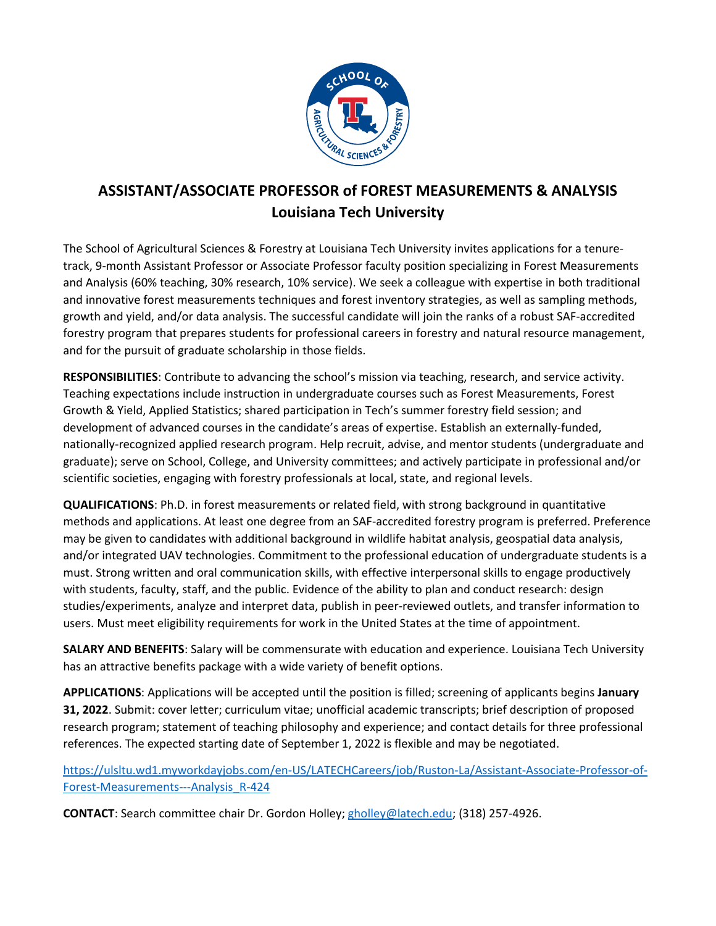

## **ASSISTANT/ASSOCIATE PROFESSOR of FOREST MEASUREMENTS & ANALYSIS Louisiana Tech University**

The School of Agricultural Sciences & Forestry at Louisiana Tech University invites applications for a tenuretrack, 9-month Assistant Professor or Associate Professor faculty position specializing in Forest Measurements and Analysis (60% teaching, 30% research, 10% service). We seek a colleague with expertise in both traditional and innovative forest measurements techniques and forest inventory strategies, as well as sampling methods, growth and yield, and/or data analysis. The successful candidate will join the ranks of a robust SAF-accredited forestry program that prepares students for professional careers in forestry and natural resource management, and for the pursuit of graduate scholarship in those fields.

**RESPONSIBILITIES**: Contribute to advancing the school's mission via teaching, research, and service activity. Teaching expectations include instruction in undergraduate courses such as Forest Measurements, Forest Growth & Yield, Applied Statistics; shared participation in Tech's summer forestry field session; and development of advanced courses in the candidate's areas of expertise. Establish an externally-funded, nationally-recognized applied research program. Help recruit, advise, and mentor students (undergraduate and graduate); serve on School, College, and University committees; and actively participate in professional and/or scientific societies, engaging with forestry professionals at local, state, and regional levels.

**QUALIFICATIONS**: Ph.D. in forest measurements or related field, with strong background in quantitative methods and applications. At least one degree from an SAF-accredited forestry program is preferred. Preference may be given to candidates with additional background in wildlife habitat analysis, geospatial data analysis, and/or integrated UAV technologies. Commitment to the professional education of undergraduate students is a must. Strong written and oral communication skills, with effective interpersonal skills to engage productively with students, faculty, staff, and the public. Evidence of the ability to plan and conduct research: design studies/experiments, analyze and interpret data, publish in peer-reviewed outlets, and transfer information to users. Must meet eligibility requirements for work in the United States at the time of appointment.

**SALARY AND BENEFITS**: Salary will be commensurate with education and experience. Louisiana Tech University has an attractive benefits package with a wide variety of benefit options.

**APPLICATIONS**: Applications will be accepted until the position is filled; screening of applicants begins **January 31, 2022**. Submit: cover letter; curriculum vitae; unofficial academic transcripts; brief description of proposed research program; statement of teaching philosophy and experience; and contact details for three professional references. The expected starting date of September 1, 2022 is flexible and may be negotiated.

[https://ulsltu.wd1.myworkdayjobs.com/en-US/LATECHCareers/job/Ruston-La/Assistant-Associate-Professor-of-](https://ulsltu.wd1.myworkdayjobs.com/en-US/LATECHCareers/job/Ruston-La/Assistant-Associate-Professor-of-Forest-Measurements---Analysis_R-424)[Forest-Measurements---Analysis\\_R-424](https://ulsltu.wd1.myworkdayjobs.com/en-US/LATECHCareers/job/Ruston-La/Assistant-Associate-Professor-of-Forest-Measurements---Analysis_R-424)

**CONTACT**: Search committee chair Dr. Gordon Holley[; gholley@latech.edu;](mailto:gholley@latech.edu) (318) 257-4926.